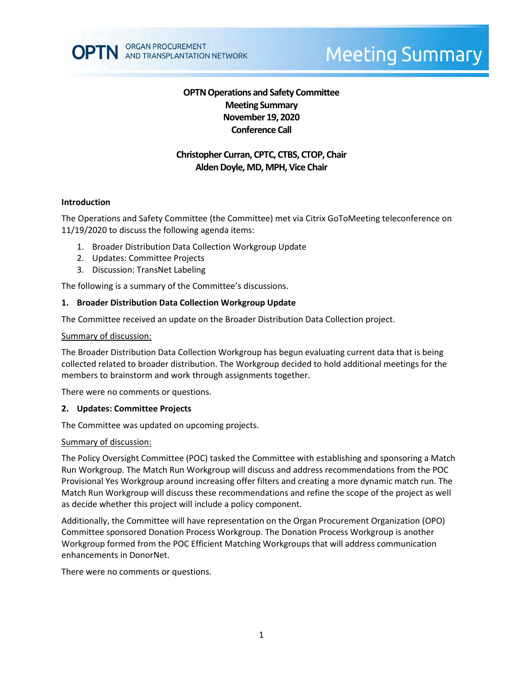

# **Meeting Summary**

# **OPTN Operations and Safety Committee Meeting Summary November 19, 2020 Conference Call**

# **Christopher Curran, CPTC, CTBS, CTOP, Chair Alden Doyle, MD, MPH, Vice Chair**

#### **Introduction**

The Operations and Safety Committee (the Committee) met via Citrix GoToMeeting teleconference on 11/19/2020 to discuss the following agenda items:

- 1. Broader Distribution Data Collection Workgroup Update
- 2. Updates: Committee Projects
- 3. Discussion: TransNet Labeling

The following is a summary of the Committee's discussions.

## **1. Broader Distribution Data Collection Workgroup Update**

The Committee received an update on the Broader Distribution Data Collection project.

#### Summary of discussion:

The Broader Distribution Data Collection Workgroup has begun evaluating current data that is being collected related to broader distribution. The Workgroup decided to hold additional meetings for the members to brainstorm and work through assignments together.

There were no comments or questions.

## **2. Updates: Committee Projects**

The Committee was updated on upcoming projects.

#### Summary of discussion:

The Policy Oversight Committee (POC) tasked the Committee with establishing and sponsoring a Match Run Workgroup. The Match Run Workgroup will discuss and address recommendations from the POC Provisional Yes Workgroup around increasing offer filters and creating a more dynamic match run. The Match Run Workgroup will discuss these recommendations and refine the scope of the project as well as decide whether this project will include a policy component.

Additionally, the Committee will have representation on the Organ Procurement Organization (OPO) Committee sponsored Donation Process Workgroup. The Donation Process Workgroup is another Workgroup formed from the POC Efficient Matching Workgroups that will address communication enhancements in DonorNet.

There were no comments or questions.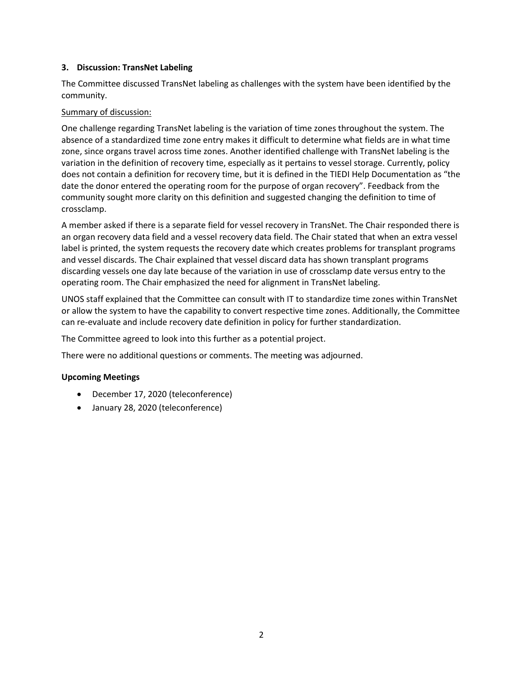## **3. Discussion: TransNet Labeling**

The Committee discussed TransNet labeling as challenges with the system have been identified by the community.

## Summary of discussion:

One challenge regarding TransNet labeling is the variation of time zones throughout the system. The absence of a standardized time zone entry makes it difficult to determine what fields are in what time zone, since organs travel across time zones. Another identified challenge with TransNet labeling is the variation in the definition of recovery time, especially as it pertains to vessel storage. Currently, policy does not contain a definition for recovery time, but it is defined in the TIEDI Help Documentation as "the date the donor entered the operating room for the purpose of organ recovery". Feedback from the community sought more clarity on this definition and suggested changing the definition to time of crossclamp.

A member asked if there is a separate field for vessel recovery in TransNet. The Chair responded there is an organ recovery data field and a vessel recovery data field. The Chair stated that when an extra vessel label is printed, the system requests the recovery date which creates problems for transplant programs and vessel discards. The Chair explained that vessel discard data has shown transplant programs discarding vessels one day late because of the variation in use of crossclamp date versus entry to the operating room. The Chair emphasized the need for alignment in TransNet labeling.

UNOS staff explained that the Committee can consult with IT to standardize time zones within TransNet or allow the system to have the capability to convert respective time zones. Additionally, the Committee can re-evaluate and include recovery date definition in policy for further standardization.

The Committee agreed to look into this further as a potential project.

There were no additional questions or comments. The meeting was adjourned.

# **Upcoming Meetings**

- December 17, 2020 (teleconference)
- January 28, 2020 (teleconference)